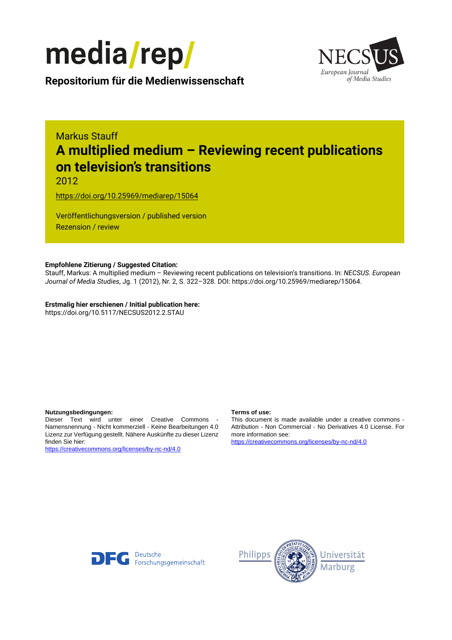



**Repositorium für die [Medienwissenschaft](https://mediarep.org)**

# Markus Stauff **A multiplied medium – Reviewing recent publications on television's transitions**

2012

<https://doi.org/10.25969/mediarep/15064>

Veröffentlichungsversion / published version Rezension / review

### **Empfohlene Zitierung / Suggested Citation:**

Stauff, Markus: A multiplied medium – Reviewing recent publications on television's transitions. In: *NECSUS. European Journal of Media Studies*, Jg. 1 (2012), Nr. 2, S. 322–328. DOI: https://doi.org/10.25969/mediarep/15064.

**Erstmalig hier erschienen / Initial publication here:** https://doi.org/10.5117/NECSUS2012.2.STAU

#### **Nutzungsbedingungen: Terms of use:**

Dieser Text wird unter einer Creative Commons - Namensnennung - Nicht kommerziell - Keine Bearbeitungen 4.0 Lizenz zur Verfügung gestellt. Nähere Auskünfte zu dieser Lizenz finden Sie hier:

<https://creativecommons.org/licenses/by-nc-nd/4.0>

This document is made available under a creative commons - Attribution - Non Commercial - No Derivatives 4.0 License. For more information see:

<https://creativecommons.org/licenses/by-nc-nd/4.0>



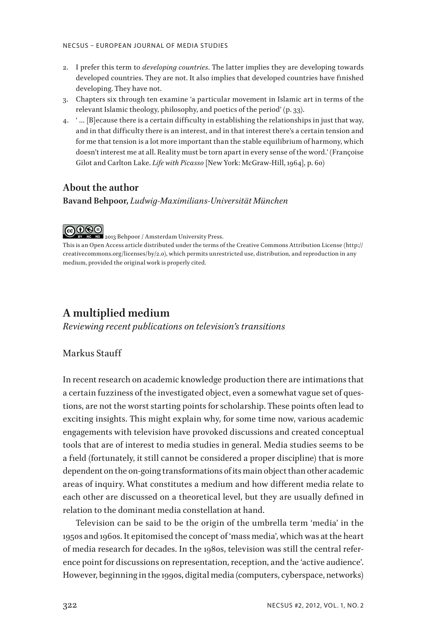- 2. I prefer this term to *developing countries*. The latter implies they are developing towards developed countries. They are not. It also implies that developed countries have finished developing. They have not.
- 3. Chapters six through ten examine 'a particular movement in Islamic art in terms of the relevant Islamic theology, philosophy, and poetics of the period' (p. 33).
- 4. ' … [B]ecause there is a certain difficulty in establishing the relationships in just that way, and in that difficulty there is an interest, and in that interest there's a certain tension and for me that tension is a lot more important than the stable equilibrium of harmony, which doesn't interest me at all. Reality must be torn apart in every sense of the word.' (Françoise Gilot and Carlton Lake. *Life with Picasso* [New York: McGraw-Hill, 1964], p. 60)

#### **About the author**

**Bavand Behpoor,** *Ludwig-Maximilians-Universität München*

# ெ⊕

2013 Behpoor / Amsterdam University Press.

This is an Open Access article distributed under the terms of the Creative Commons Attribution License (http:// creativecommons.org/licenses/by/2.0), which permits unrestricted use, distribution, and reproduction in any medium, provided the original work is properly cited.

# **A multiplied medium**

*Reviewing recent publications on television's transitions*

### Markus Stauff

In recent research on academic knowledge production there are intimations that a certain fuzziness of the investigated object, even a somewhat vague set of questions, are not the worst starting points for scholarship. These points often lead to exciting insights. This might explain why, for some time now, various academic engagements with television have provoked discussions and created conceptual tools that are of interest to media studies in general. Media studies seems to be a field (fortunately, it still cannot be considered a proper discipline) that is more dependent on the on-going transformations of its main object than other academic areas of inquiry. What constitutes a medium and how different media relate to each other are discussed on a theoretical level, but they are usually defined in relation to the dominant media constellation at hand.

Television can be said to be the origin of the umbrella term 'media' in the 1950s and 1960s. It epitomised the concept of 'mass media', which was at the heart of media research for decades. In the 1980s, television was still the central reference point for discussions on representation, reception, and the 'active audience'. However, beginning in the 1990s, digital media (computers, cyberspace, networks)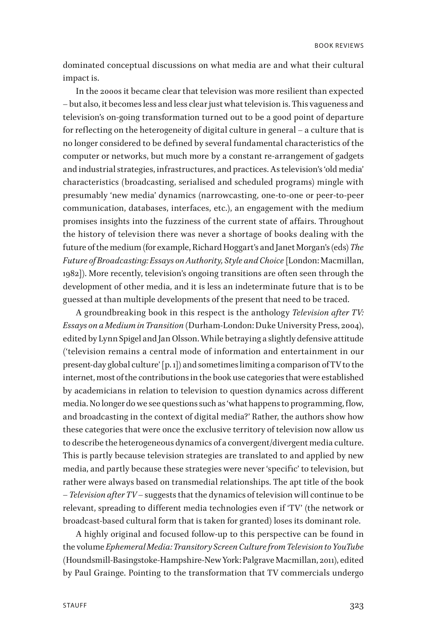dominated conceptual discussions on what media are and what their cultural impact is.

In the 2000s it became clear that television was more resilient than expected – but also, it becomes less and less clear just what television is. This vagueness and television's on-going transformation turned out to be a good point of departure for reflecting on the heterogeneity of digital culture in general – a culture that is no longer considered to be defined by several fundamental characteristics of the computer or networks, but much more by a constant re-arrangement of gadgets and industrial strategies, infrastructures, and practices. As television's 'old media' characteristics (broadcasting, serialised and scheduled programs) mingle with presumably 'new media' dynamics (narrowcasting, one-to-one or peer-to-peer communication, databases, interfaces, etc.), an engagement with the medium promises insights into the fuzziness of the current state of affairs. Throughout the history of television there was never a shortage of books dealing with the future of the medium (for example, Richard Hoggart's and Janet Morgan's (eds) *The Future of Broadcasting: Essays on Authority, Style and Choice* [London: Macmillan, 1982]). More recently, television's ongoing transitions are often seen through the development of other media, and it is less an indeterminate future that is to be guessed at than multiple developments of the present that need to be traced.

A groundbreaking book in this respect is the anthology *Television after TV: Essays on a Medium in Transition* (Durham-London: Duke University Press, 2004), edited by Lynn Spigel and Jan Olsson. While betraying a slightly defensive attitude ('television remains a central mode of information and entertainment in our present-day global culture' [p. 1]) and sometimes limiting a comparison of TV to the internet, most of the contributions in the book use categories that were established by academicians in relation to television to question dynamics across different media. No longer do we see questions such as 'what happens to programming, flow, and broadcasting in the context of digital media?' Rather, the authors show how these categories that were once the exclusive territory of television now allow us to describe the heterogeneous dynamics of a convergent/divergent media culture. This is partly because television strategies are translated to and applied by new media, and partly because these strategies were never 'specific' to television, but rather were always based on transmedial relationships. The apt title of the book – *Television after TV* – suggests that the dynamics of television will continue to be relevant, spreading to different media technologies even if 'TV' (the network or broadcast-based cultural form that is taken for granted) loses its dominant role.

A highly original and focused follow-up to this perspective can be found in the volume *Ephemeral Media: Transitory Screen Culture from Television to YouTube* (Houndsmill-Basingstoke-Hampshire-New York: Palgrave Macmillan, 2011), edited by Paul Grainge. Pointing to the transformation that TV commercials undergo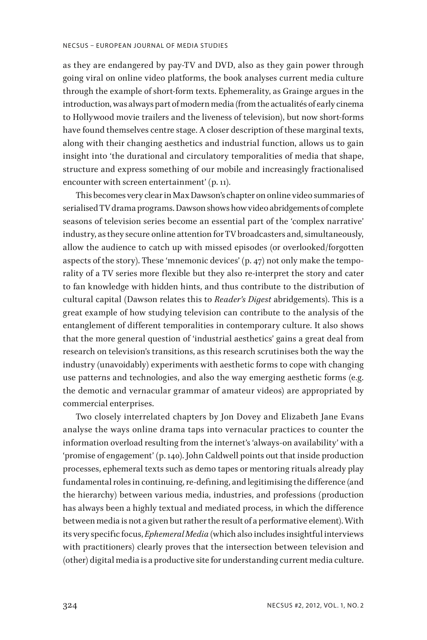#### NECSUS – EUROPEAN JOURNAL OF MEDIA STUDIES

as they are endangered by pay-TV and DVD, also as they gain power through going viral on online video platforms, the book analyses current media culture through the example of short-form texts. Ephemerality, as Grainge argues in the introduction, was always part of modern media (from the actualités of early cinema to Hollywood movie trailers and the liveness of television), but now short-forms have found themselves centre stage. A closer description of these marginal texts, along with their changing aesthetics and industrial function, allows us to gain insight into 'the durational and circulatory temporalities of media that shape, structure and express something of our mobile and increasingly fractionalised encounter with screen entertainment' (p. 11).

This becomes very clear in Max Dawson's chapter on online video summaries of serialised TV drama programs. Dawson shows how video abridgements of complete seasons of television series become an essential part of the 'complex narrative' industry, as they secure online attention for TV broadcasters and, simultaneously, allow the audience to catch up with missed episodes (or overlooked/forgotten aspects of the story). These 'mnemonic devices' (p. 47) not only make the temporality of a TV series more flexible but they also re-interpret the story and cater to fan knowledge with hidden hints, and thus contribute to the distribution of cultural capital (Dawson relates this to *Reader's Digest* abridgements). This is a great example of how studying television can contribute to the analysis of the entanglement of different temporalities in contemporary culture. It also shows that the more general question of 'industrial aesthetics' gains a great deal from research on television's transitions, as this research scrutinises both the way the industry (unavoidably) experiments with aesthetic forms to cope with changing use patterns and technologies, and also the way emerging aesthetic forms (e.g. the demotic and vernacular grammar of amateur videos) are appropriated by commercial enterprises.

Two closely interrelated chapters by Jon Dovey and Elizabeth Jane Evans analyse the ways online drama taps into vernacular practices to counter the information overload resulting from the internet's 'always-on availability' with a 'promise of engagement' (p. 140). John Caldwell points out that inside production processes, ephemeral texts such as demo tapes or mentoring rituals already play fundamental roles in continuing, re-defining, and legitimising the difference (and the hierarchy) between various media, industries, and professions (production has always been a highly textual and mediated process, in which the difference between media is not a given but rather the result of a performative element). With its very specific focus, *Ephemeral Media* (which also includes insightful interviews with practitioners) clearly proves that the intersection between television and (other) digital media is a productive site for understanding current media culture.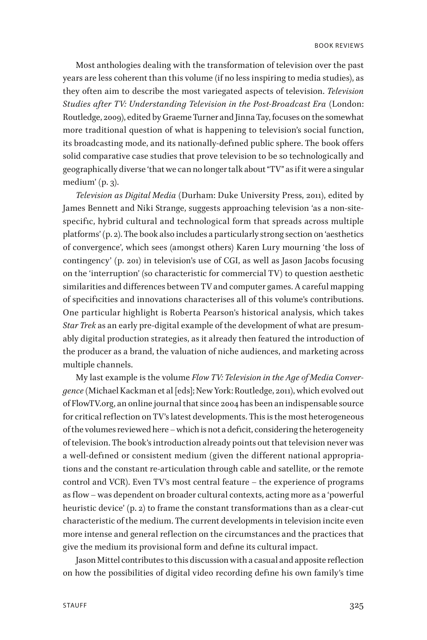Most anthologies dealing with the transformation of television over the past years are less coherent than this volume (if no less inspiring to media studies), as they often aim to describe the most variegated aspects of television. *Television Studies after TV: Understanding Television in the Post-Broadcast Era* (London: Routledge, 2009), edited by Graeme Turner and Jinna Tay, focuses on the somewhat more traditional question of what is happening to television's social function, its broadcasting mode, and its nationally-defined public sphere. The book offers solid comparative case studies that prove television to be so technologically and geographically diverse 'that we can no longer talk about "TV" as if it were a singular medium'  $(p, 3)$ .

*Television as Digital Media* (Durham: Duke University Press, 2011), edited by James Bennett and Niki Strange, suggests approaching television 'as a non-sitespecific, hybrid cultural and technological form that spreads across multiple platforms' (p. 2). The book also includes a particularly strong section on 'aesthetics of convergence', which sees (amongst others) Karen Lury mourning 'the loss of contingency' (p. 201) in television's use of CGI, as well as Jason Jacobs focusing on the 'interruption' (so characteristic for commercial TV) to question aesthetic similarities and differences between TV and computer games. A careful mapping of specificities and innovations characterises all of this volume's contributions. One particular highlight is Roberta Pearson's historical analysis, which takes *Star Trek* as an early pre-digital example of the development of what are presumably digital production strategies, as it already then featured the introduction of the producer as a brand, the valuation of niche audiences, and marketing across multiple channels.

My last example is the volume *Flow TV: Television in the Age of Media Convergence* (Michael Kackman et al [eds]; New York: Routledge, 2011), which evolved out of FlowTV.org, an online journal that since 2004 has been an indispensable source for critical reflection on TV's latest developments. This is the most heterogeneous of the volumes reviewed here – which is not a deficit, considering the heterogeneity of television. The book's introduction already points out that television never was a well-defined or consistent medium (given the different national appropriations and the constant re-articulation through cable and satellite, or the remote control and VCR). Even TV's most central feature – the experience of programs as flow – was dependent on broader cultural contexts, acting more as a 'powerful heuristic device' (p. 2) to frame the constant transformations than as a clear-cut characteristic of the medium. The current developments in television incite even more intense and general reflection on the circumstances and the practices that give the medium its provisional form and define its cultural impact.

Jason Mittel contributes to this discussion with a casual and apposite reflection on how the possibilities of digital video recording define his own family's time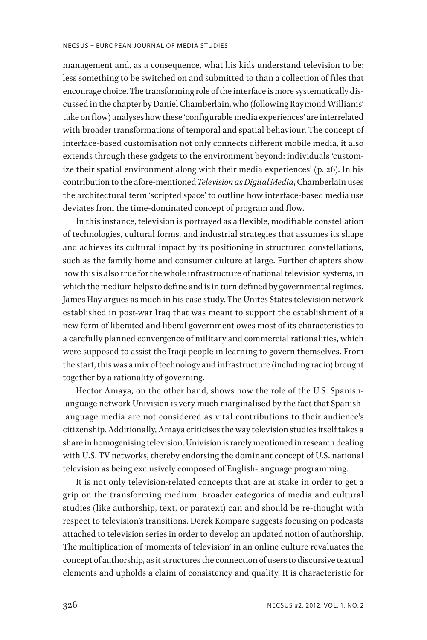management and, as a consequence, what his kids understand television to be: less something to be switched on and submitted to than a collection of files that encourage choice. The transforming role of the interface is more systematically discussed in the chapter by Daniel Chamberlain, who (following Raymond Williams' take on flow) analyses how these 'configurable media experiences' are interrelated with broader transformations of temporal and spatial behaviour. The concept of interface-based customisation not only connects different mobile media, it also extends through these gadgets to the environment beyond: individuals 'customize their spatial environment along with their media experiences' (p. 26). In his contribution to the afore-mentioned *Television as Digital Media*, Chamberlain uses the architectural term 'scripted space' to outline how interface-based media use deviates from the time-dominated concept of program and flow.

In this instance, television is portrayed as a flexible, modifiable constellation of technologies, cultural forms, and industrial strategies that assumes its shape and achieves its cultural impact by its positioning in structured constellations, such as the family home and consumer culture at large. Further chapters show how this is also true for the whole infrastructure of national television systems, in which the medium helps to define and is in turn defined by governmental regimes. James Hay argues as much in his case study. The Unites States television network established in post-war Iraq that was meant to support the establishment of a new form of liberated and liberal government owes most of its characteristics to a carefully planned convergence of military and commercial rationalities, which were supposed to assist the Iraqi people in learning to govern themselves. From the start, this was a mix of technology and infrastructure (including radio) brought together by a rationality of governing.

Hector Amaya, on the other hand, shows how the role of the U.S. Spanishlanguage network Univision is very much marginalised by the fact that Spanishlanguage media are not considered as vital contributions to their audience's citizenship. Additionally, Amaya criticises the way television studies itself takes a share in homogenising television. Univision is rarely mentioned in research dealing with U.S. TV networks, thereby endorsing the dominant concept of U.S. national television as being exclusively composed of English-language programming.

It is not only television-related concepts that are at stake in order to get a grip on the transforming medium. Broader categories of media and cultural studies (like authorship, text, or paratext) can and should be re-thought with respect to television's transitions. Derek Kompare suggests focusing on podcasts attached to television series in order to develop an updated notion of authorship. The multiplication of 'moments of television' in an online culture revaluates the concept of authorship, as it structures the connection of users to discursive textual elements and upholds a claim of consistency and quality. It is characteristic for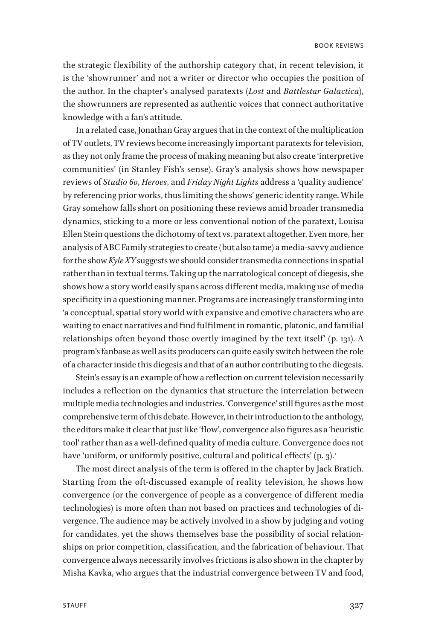the strategic flexibility of the authorship category that, in recent television, it is the 'showrunner' and not a writer or director who occupies the position of the author. In the chapter's analysed paratexts (*Lost* and *Battlestar Galactica*), the showrunners are represented as authentic voices that connect authoritative knowledge with a fan's attitude.

In a related case, Jonathan Gray argues that in the context of the multiplication of TV outlets, TV reviews become increasingly important paratexts for television, as they not only frame the process of making meaning but also create 'interpretive communities' (in Stanley Fish's sense). Gray's analysis shows how newspaper reviews of *Studio 60*, *Heroes*, and *Friday Night Lights* address a 'quality audience' by referencing prior works, thus limiting the shows' generic identity range. While Gray somehow falls short on positioning these reviews amid broader transmedia dynamics, sticking to a more or less conventional notion of the paratext, Louisa Ellen Stein questions the dichotomy of text vs. paratext altogether. Even more, her analysis of ABC Family strategies to create (but also tame) a media-savvy audience for the show *Kyle XY* suggests we should consider transmedia connections in spatial rather than in textual terms. Taking up the narratological concept of diegesis, she shows how a story world easily spans across different media, making use of media specificity in a questioning manner. Programs are increasingly transforming into 'a conceptual, spatial story world with expansive and emotive characters who are waiting to enact narratives and find fulfilment in romantic, platonic, and familial relationships often beyond those overtly imagined by the text itself' (p. 131). A program's fanbase as well as its producers can quite easily switch between the role of a character inside this diegesis and that of an author contributing to the diegesis.

Stein's essay is an example of how a reflection on current television necessarily includes a reflection on the dynamics that structure the interrelation between multiple media technologies and industries. 'Convergence' still figures as the most comprehensive term of this debate. However, in their introduction to the anthology, the editors make it clear that just like 'flow', convergence also figures as a 'heuristic tool' rather than as a well-defined quality of media culture. Convergence does not have 'uniform, or uniformly positive, cultural and political effects' (p. 3).<sup>1</sup>

The most direct analysis of the term is offered in the chapter by Jack Bratich. Starting from the oft-discussed example of reality television, he shows how convergence (or the convergence of people as a convergence of different media technologies) is more often than not based on practices and technologies of divergence. The audience may be actively involved in a show by judging and voting for candidates, yet the shows themselves base the possibility of social relationships on prior competition, classification, and the fabrication of behaviour. That convergence always necessarily involves frictions is also shown in the chapter by Misha Kavka, who argues that the industrial convergence between TV and food,